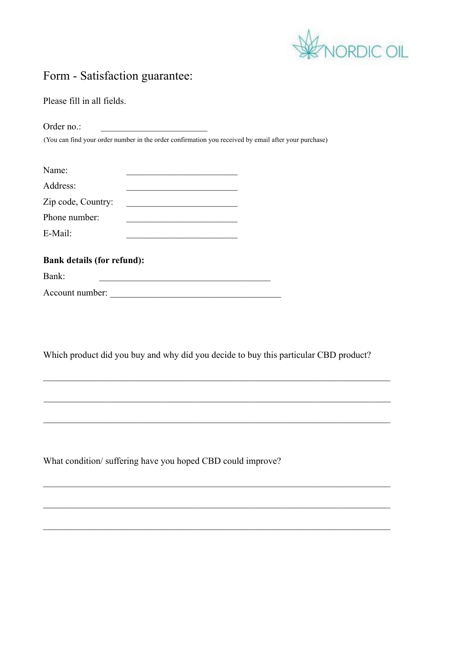

## Form - Satisfaction guarantee:

Please fill in all fields.

Order no.: (You can find your order number in the order confirmation you received by email after your purchase)

| Name:              |  |
|--------------------|--|
| Address:           |  |
| Zip code, Country: |  |
| Phone number:      |  |
| E-Mail:            |  |
|                    |  |

| <b>Bank details (for refund):</b> |  |  |  |
|-----------------------------------|--|--|--|
| Bank:                             |  |  |  |
| Account number:                   |  |  |  |

Which product did you buy and why did you decide to buy this particular CBD product?

 $\mathcal{L}_\mathcal{L} = \{ \mathcal{L}_\mathcal{L} = \{ \mathcal{L}_\mathcal{L} = \{ \mathcal{L}_\mathcal{L} = \{ \mathcal{L}_\mathcal{L} = \{ \mathcal{L}_\mathcal{L} = \{ \mathcal{L}_\mathcal{L} = \{ \mathcal{L}_\mathcal{L} = \{ \mathcal{L}_\mathcal{L} = \{ \mathcal{L}_\mathcal{L} = \{ \mathcal{L}_\mathcal{L} = \{ \mathcal{L}_\mathcal{L} = \{ \mathcal{L}_\mathcal{L} = \{ \mathcal{L}_\mathcal{L} = \{ \mathcal{L}_\mathcal{$ 

 $\mathcal{L}_\text{max}$  , and the contribution of the contribution of the contribution of the contribution of the contribution of the contribution of the contribution of the contribution of the contribution of the contribution of t

 $\mathcal{L}_\text{max}$  , and the contribution of the contribution of the contribution of the contribution of the contribution of the contribution of the contribution of the contribution of the contribution of the contribution of t

 $\mathcal{L}_\text{max}$  , and the contribution of the contribution of the contribution of the contribution of the contribution of the contribution of the contribution of the contribution of the contribution of the contribution of t

 $\mathcal{L}_\mathcal{L} = \{ \mathcal{L}_\mathcal{L} = \{ \mathcal{L}_\mathcal{L} = \{ \mathcal{L}_\mathcal{L} = \{ \mathcal{L}_\mathcal{L} = \{ \mathcal{L}_\mathcal{L} = \{ \mathcal{L}_\mathcal{L} = \{ \mathcal{L}_\mathcal{L} = \{ \mathcal{L}_\mathcal{L} = \{ \mathcal{L}_\mathcal{L} = \{ \mathcal{L}_\mathcal{L} = \{ \mathcal{L}_\mathcal{L} = \{ \mathcal{L}_\mathcal{L} = \{ \mathcal{L}_\mathcal{L} = \{ \mathcal{L}_\mathcal{$ 

 $\mathcal{L}_\mathcal{L} = \{ \mathcal{L}_\mathcal{L} = \{ \mathcal{L}_\mathcal{L} = \{ \mathcal{L}_\mathcal{L} = \{ \mathcal{L}_\mathcal{L} = \{ \mathcal{L}_\mathcal{L} = \{ \mathcal{L}_\mathcal{L} = \{ \mathcal{L}_\mathcal{L} = \{ \mathcal{L}_\mathcal{L} = \{ \mathcal{L}_\mathcal{L} = \{ \mathcal{L}_\mathcal{L} = \{ \mathcal{L}_\mathcal{L} = \{ \mathcal{L}_\mathcal{L} = \{ \mathcal{L}_\mathcal{L} = \{ \mathcal{L}_\mathcal{$ 

What condition/ suffering have you hoped CBD could improve?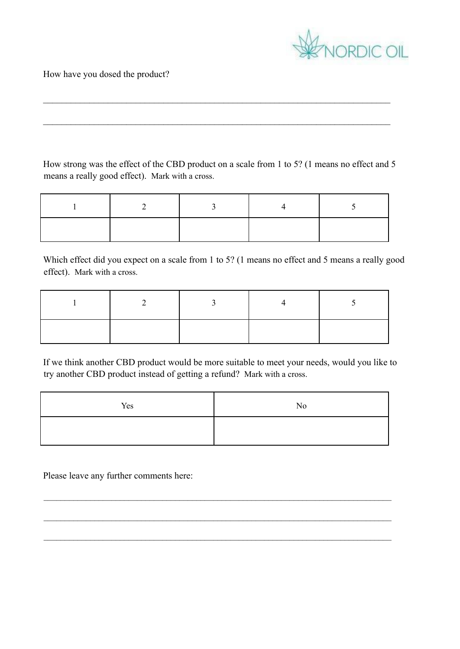

How have you dosed the product?

How strong was the effect of the CBD product on a scale from 1 to 5? (1 means no effect and 5 means a really good effect). Mark with a cross.

 $\mathcal{L}_\mathcal{L} = \{ \mathcal{L}_\mathcal{L} = \{ \mathcal{L}_\mathcal{L} = \{ \mathcal{L}_\mathcal{L} = \{ \mathcal{L}_\mathcal{L} = \{ \mathcal{L}_\mathcal{L} = \{ \mathcal{L}_\mathcal{L} = \{ \mathcal{L}_\mathcal{L} = \{ \mathcal{L}_\mathcal{L} = \{ \mathcal{L}_\mathcal{L} = \{ \mathcal{L}_\mathcal{L} = \{ \mathcal{L}_\mathcal{L} = \{ \mathcal{L}_\mathcal{L} = \{ \mathcal{L}_\mathcal{L} = \{ \mathcal{L}_\mathcal{$ 

 $\mathcal{L}_\text{max}$  , and the contribution of the contribution of the contribution of the contribution of the contribution of the contribution of the contribution of the contribution of the contribution of the contribution of t

|  | $\rightarrow$ |  |
|--|---------------|--|
|  |               |  |

Which effect did you expect on a scale from 1 to 5? (1 means no effect and 5 means a really good effect). Mark with a cross.

If we think another CBD product would be more suitable to meet your needs, would you like to try another CBD product instead of getting a refund? Mark with a cross.

| Yes | No |
|-----|----|
|     |    |

 $\mathcal{L}_\mathcal{L} = \{ \mathcal{L}_\mathcal{L} = \{ \mathcal{L}_\mathcal{L} = \{ \mathcal{L}_\mathcal{L} = \{ \mathcal{L}_\mathcal{L} = \{ \mathcal{L}_\mathcal{L} = \{ \mathcal{L}_\mathcal{L} = \{ \mathcal{L}_\mathcal{L} = \{ \mathcal{L}_\mathcal{L} = \{ \mathcal{L}_\mathcal{L} = \{ \mathcal{L}_\mathcal{L} = \{ \mathcal{L}_\mathcal{L} = \{ \mathcal{L}_\mathcal{L} = \{ \mathcal{L}_\mathcal{L} = \{ \mathcal{L}_\mathcal{$ 

Please leave any further comments here: